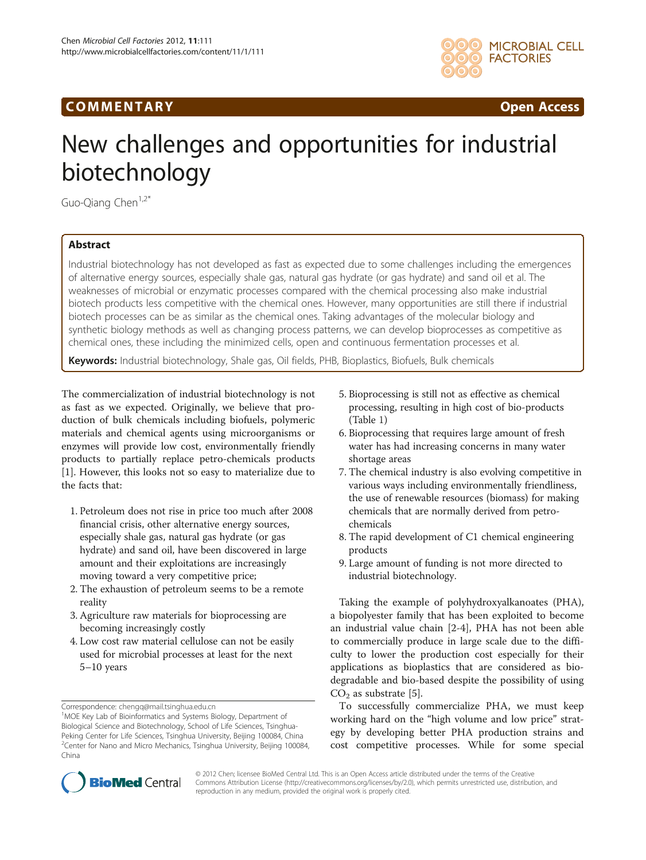## COMM EN TARY Open Access



# New challenges and opportunities for industrial biotechnology

Guo-Qiang Chen<sup>1,2\*</sup>

### Abstract

Industrial biotechnology has not developed as fast as expected due to some challenges including the emergences of alternative energy sources, especially shale gas, natural gas hydrate (or gas hydrate) and sand oil et al. The weaknesses of microbial or enzymatic processes compared with the chemical processing also make industrial biotech products less competitive with the chemical ones. However, many opportunities are still there if industrial biotech processes can be as similar as the chemical ones. Taking advantages of the molecular biology and synthetic biology methods as well as changing process patterns, we can develop bioprocesses as competitive as chemical ones, these including the minimized cells, open and continuous fermentation processes et al.

Keywords: Industrial biotechnology, Shale gas, Oil fields, PHB, Bioplastics, Biofuels, Bulk chemicals

The commercialization of industrial biotechnology is not as fast as we expected. Originally, we believe that production of bulk chemicals including biofuels, polymeric materials and chemical agents using microorganisms or enzymes will provide low cost, environmentally friendly products to partially replace petro-chemicals products [[1\]](#page-2-0). However, this looks not so easy to materialize due to the facts that:

- 1. Petroleum does not rise in price too much after 2008 financial crisis, other alternative energy sources, especially shale gas, natural gas hydrate (or gas hydrate) and sand oil, have been discovered in large amount and their exploitations are increasingly moving toward a very competitive price;
- 2. The exhaustion of petroleum seems to be a remote reality
- 3. Agriculture raw materials for bioprocessing are becoming increasingly costly
- 4. Low cost raw material cellulose can not be easily used for microbial processes at least for the next 5–10 years
- 5. Bioprocessing is still not as effective as chemical processing, resulting in high cost of bio-products (Table [1](#page-1-0))
- 6. Bioprocessing that requires large amount of fresh water has had increasing concerns in many water shortage areas
- 7. The chemical industry is also evolving competitive in various ways including environmentally friendliness, the use of renewable resources (biomass) for making chemicals that are normally derived from petrochemicals
- 8. The rapid development of C1 chemical engineering products
- 9. Large amount of funding is not more directed to industrial biotechnology.

Taking the example of polyhydroxyalkanoates (PHA), a biopolyester family that has been exploited to become an industrial value chain [\[2](#page-2-0)-[4\]](#page-2-0), PHA has not been able to commercially produce in large scale due to the difficulty to lower the production cost especially for their applications as bioplastics that are considered as biodegradable and bio-based despite the possibility of using  $CO<sub>2</sub>$  as substrate [[5\]](#page-2-0).

To successfully commercialize PHA, we must keep working hard on the "high volume and low price" strategy by developing better PHA production strains and cost competitive processes. While for some special



© 2012 Chen; licensee BioMed Central Ltd. This is an Open Access article distributed under the terms of the Creative Commons Attribution License [\(http://creativecommons.org/licenses/by/2.0\)](http://creativecommons.org/licenses/by/2.0), which permits unrestricted use, distribution, and reproduction in any medium, provided the original work is properly cited.

Correspondence: [chengq@mail.tsinghua.edu.cn](mailto:chengq@mail.tsinghua.edu.cn) <sup>1</sup>

<sup>&</sup>lt;sup>1</sup>MOE Key Lab of Bioinformatics and Systems Biology, Department of Biological Science and Biotechnology, School of Life Sciences, Tsinghua-Peking Center for Life Sciences, Tsinghua University, Beijing 100084, China <sup>2</sup>Center for Nano and Micro Mechanics, Tsinghua University, Beijing 100084, China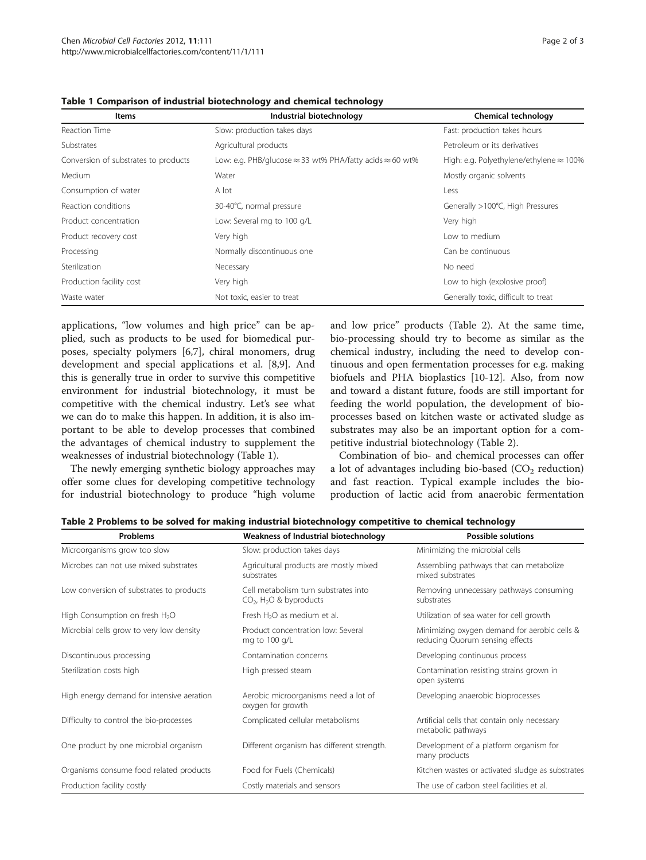| <b>Items</b>                         | Industrial biotechnology                                                | <b>Chemical technology</b>                      |
|--------------------------------------|-------------------------------------------------------------------------|-------------------------------------------------|
| Reaction Time                        | Slow: production takes days                                             | Fast: production takes hours                    |
| Substrates                           | Agricultural products                                                   | Petroleum or its derivatives                    |
| Conversion of substrates to products | Low: e.g. PHB/glucose $\approx$ 33 wt% PHA/fatty acids $\approx$ 60 wt% | High: e.g. Polyethylene/ethylene $\approx$ 100% |
| <b>Medium</b>                        | Water                                                                   | Mostly organic solvents                         |
| Consumption of water                 | A lot                                                                   | Less                                            |
| Reaction conditions                  | 30-40°C, normal pressure                                                | Generally >100°C, High Pressures                |
| Product concentration                | Low: Several mg to 100 g/L                                              | Very high                                       |
| Product recovery cost                | Very high                                                               | Low to medium                                   |
| Processing                           | Normally discontinuous one                                              | Can be continuous                               |
| Sterilization                        | Necessary                                                               | No need                                         |
| Production facility cost             | Very high                                                               | Low to high (explosive proof)                   |
| Waste water                          | Not toxic, easier to treat                                              | Generally toxic, difficult to treat             |

<span id="page-1-0"></span>Table 1 Comparison of industrial biotechnology and chemical technology

applications, "low volumes and high price" can be applied, such as products to be used for biomedical purposes, specialty polymers [\[6,7\]](#page-2-0), chiral monomers, drug development and special applications et al. [[8,9\]](#page-2-0). And this is generally true in order to survive this competitive environment for industrial biotechnology, it must be competitive with the chemical industry. Let's see what we can do to make this happen. In addition, it is also important to be able to develop processes that combined the advantages of chemical industry to supplement the weaknesses of industrial biotechnology (Table 1).

The newly emerging synthetic biology approaches may offer some clues for developing competitive technology for industrial biotechnology to produce "high volume and low price" products (Table 2). At the same time, bio-processing should try to become as similar as the chemical industry, including the need to develop continuous and open fermentation processes for e.g. making biofuels and PHA bioplastics [\[10](#page-2-0)-[12\]](#page-2-0). Also, from now and toward a distant future, foods are still important for feeding the world population, the development of bioprocesses based on kitchen waste or activated sludge as substrates may also be an important option for a competitive industrial biotechnology (Table 2).

Combination of bio- and chemical processes can offer a lot of advantages including bio-based  $(CO<sub>2</sub>$  reduction) and fast reaction. Typical example includes the bioproduction of lactic acid from anaerobic fermentation

Table 2 Problems to be solved for making industrial biotechnology competitive to chemical technology

| Problems                                   | Weakness of Industrial biotechnology                                                    | <b>Possible solutions</b>                                                       |
|--------------------------------------------|-----------------------------------------------------------------------------------------|---------------------------------------------------------------------------------|
| Microorganisms grow too slow               | Slow: production takes days                                                             | Minimizing the microbial cells                                                  |
| Microbes can not use mixed substrates      | Agricultural products are mostly mixed<br>substrates                                    | Assembling pathways that can metabolize<br>mixed substrates                     |
| Low conversion of substrates to products   | Cell metabolism turn substrates into<br>CO <sub>2</sub> , H <sub>2</sub> O & byproducts | Removing unnecessary pathways consuming<br>substrates                           |
| High Consumption on fresh H <sub>2</sub> O | Fresh H <sub>2</sub> O as medium et al.                                                 | Utilization of sea water for cell growth                                        |
| Microbial cells grow to very low density   | Product concentration low: Several<br>mg to 100 g/L                                     | Minimizing oxygen demand for aerobic cells &<br>reducing Quorum sensing effects |
| Discontinuous processing                   | Contamination concerns                                                                  | Developing continuous process                                                   |
| Sterilization costs high                   | High pressed steam                                                                      | Contamination resisting strains grown in<br>open systems                        |
| High energy demand for intensive aeration  | Aerobic microorganisms need a lot of<br>oxygen for growth                               | Developing anaerobic bioprocesses                                               |
| Difficulty to control the bio-processes    | Complicated cellular metabolisms                                                        | Artificial cells that contain only necessary<br>metabolic pathways              |
| One product by one microbial organism      | Different organism has different strength.                                              | Development of a platform organism for<br>many products                         |
| Organisms consume food related products    | Food for Fuels (Chemicals)                                                              | Kitchen wastes or activated sludge as substrates                                |
| Production facility costly                 | Costly materials and sensors                                                            | The use of carbon steel facilities et al.                                       |